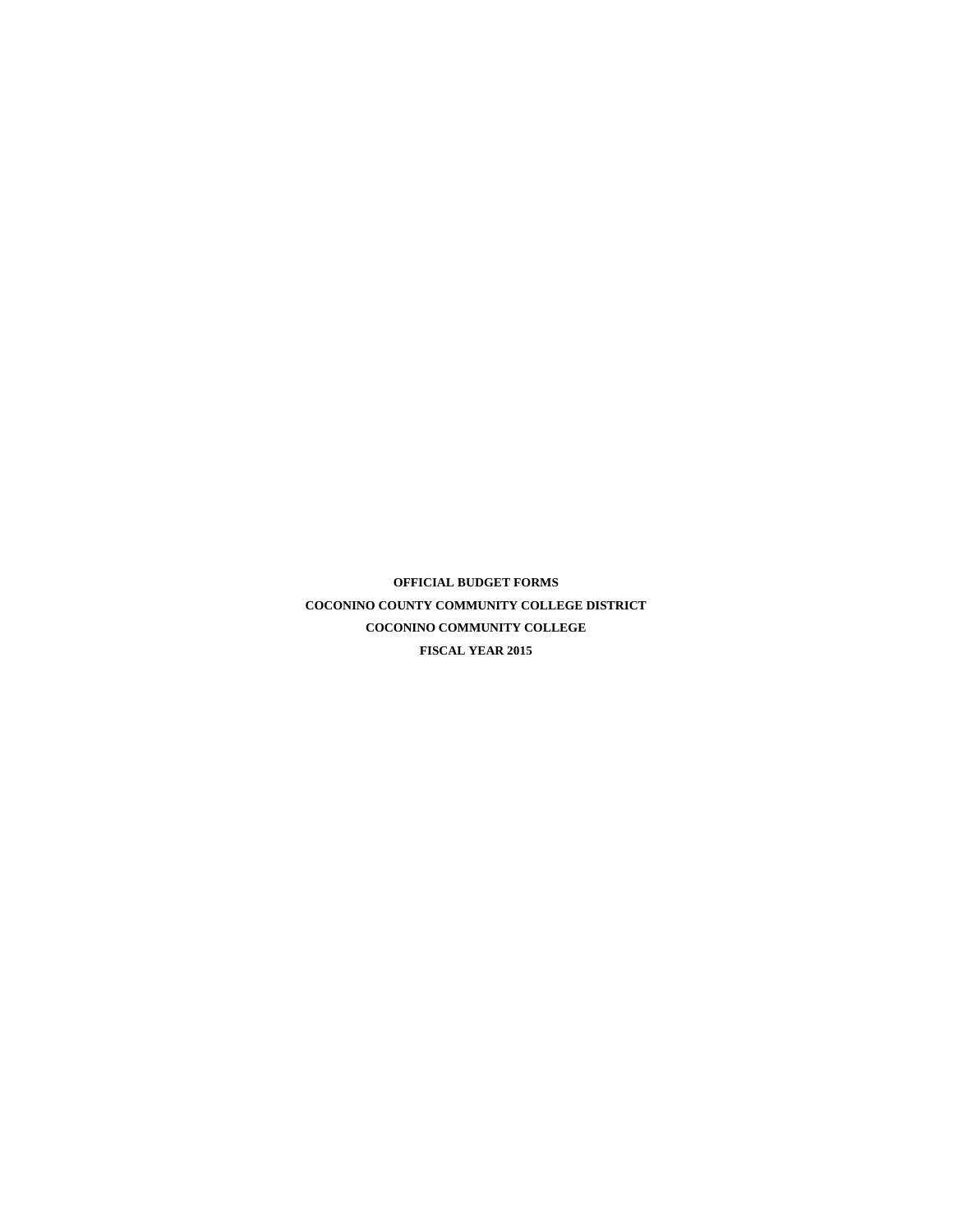**OFFICIAL BUDGET FORMS COCONINO COUNTY COMMUNITY COLLEGE DISTRICT COCONINO COMMUNITY COLLEGE FISCAL YEAR 2015**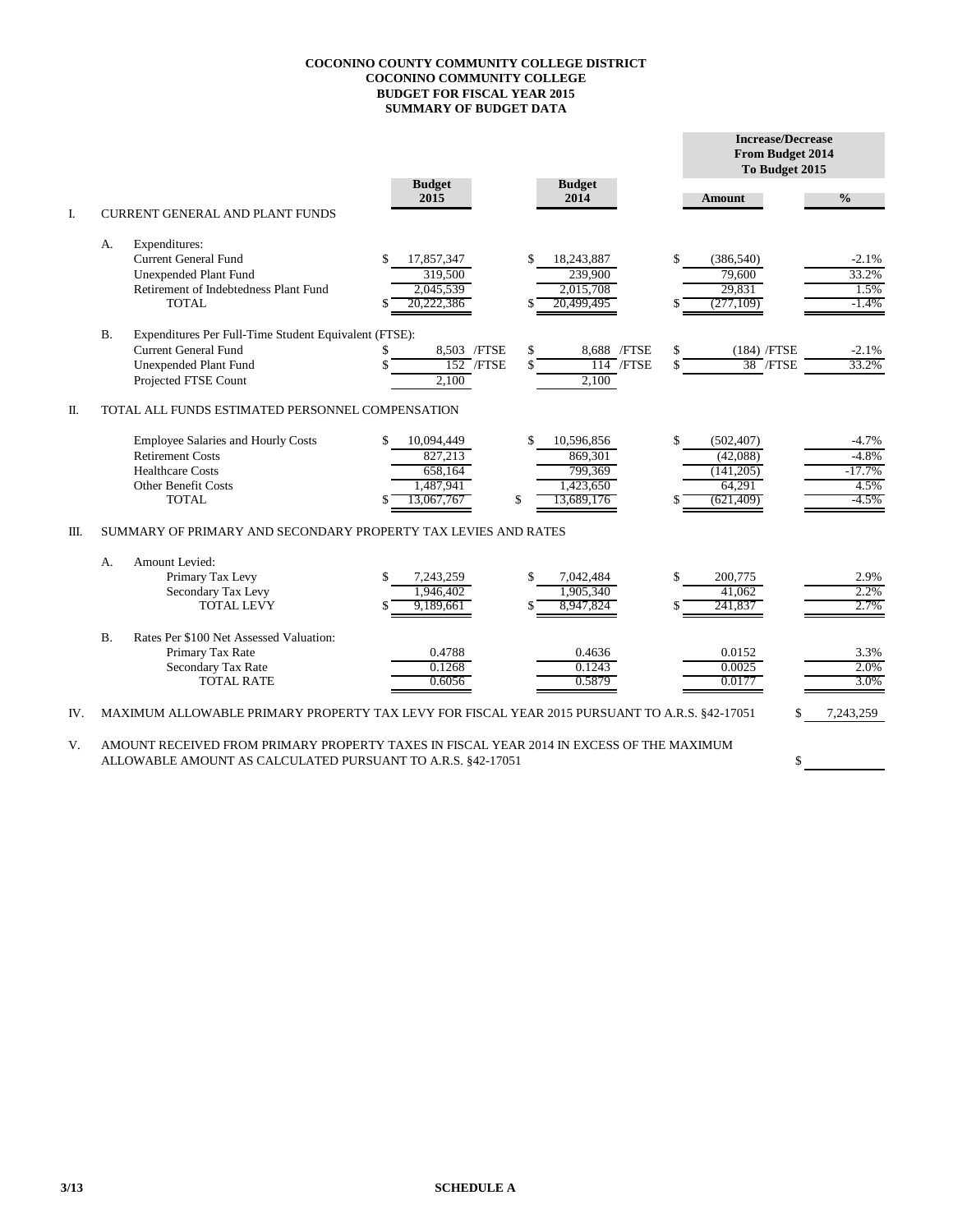## **COCONINO COUNTY COMMUNITY COLLEGE DISTRICT COCONINO COMMUNITY COLLEGE BUDGET FOR FISCAL YEAR 2015 SUMMARY OF BUDGET DATA**

|      |           |                                                                                                                                              |                                                                    |                                                                         |          | <b>Increase/Decrease</b><br>From Budget 2014<br>To Budget 2015 |                                                   |  |  |
|------|-----------|----------------------------------------------------------------------------------------------------------------------------------------------|--------------------------------------------------------------------|-------------------------------------------------------------------------|----------|----------------------------------------------------------------|---------------------------------------------------|--|--|
|      |           |                                                                                                                                              | <b>Budget</b><br>2015                                              | <b>Budget</b><br>2014                                                   |          | <b>Amount</b>                                                  | $\frac{0}{0}$                                     |  |  |
| I.   |           | <b>CURRENT GENERAL AND PLANT FUNDS</b>                                                                                                       |                                                                    |                                                                         |          |                                                                |                                                   |  |  |
|      | А.        | Expenditures:<br><b>Current General Fund</b><br><b>Unexpended Plant Fund</b><br>Retirement of Indebtedness Plant Fund<br><b>TOTAL</b>        | 17,857,347<br>319,500<br>2,045,539<br>20,222,386                   | \$.<br>18.243.887<br>239,900<br>2,015,708<br>20,499,495                 | \$       | (386, 540)<br>79,600<br>29,831<br>(277,109)                    | $-2.1%$<br>33.2%<br>1.5%<br>$-1.4\%$              |  |  |
|      | <b>B.</b> | Expenditures Per Full-Time Student Equivalent (FTSE):<br><b>Current General Fund</b><br><b>Unexpended Plant Fund</b><br>Projected FTSE Count | 8,503 /FTSE<br>S<br>$152$ /FTSE<br>2.100                           | \$<br>8,688 / FTSE<br>$114$ /FTSE<br>\$<br>2,100                        | \$<br>\$ | (184) /FTSE<br>$38$ /FTSE                                      | $-2.1%$<br>33.2%                                  |  |  |
| Π.   |           | TOTAL ALL FUNDS ESTIMATED PERSONNEL COMPENSATION                                                                                             |                                                                    |                                                                         |          |                                                                |                                                   |  |  |
|      |           | <b>Employee Salaries and Hourly Costs</b><br><b>Retirement Costs</b><br><b>Healthcare Costs</b><br>Other Benefit Costs<br><b>TOTAL</b>       | 10,094,449<br>\$.<br>827,213<br>658,164<br>1,487,941<br>13.067.767 | \$<br>10,596,856<br>869,301<br>799,369<br>1,423,650<br>\$<br>13,689,176 | \$       | (502, 407)<br>(42,088)<br>(141, 205)<br>64,291<br>(621, 409)   | $-4.7%$<br>$-4.8%$<br>$-17.7%$<br>4.5%<br>$-4.5%$ |  |  |
| III. |           | SUMMARY OF PRIMARY AND SECONDARY PROPERTY TAX LEVIES AND RATES                                                                               |                                                                    |                                                                         |          |                                                                |                                                   |  |  |
|      | A.        | Amount Levied:<br>Primary Tax Levy<br>Secondary Tax Levy<br><b>TOTAL LEVY</b>                                                                | 7,243,259<br>1,946,402<br>9,189,661                                | \$<br>7,042,484<br>1,905,340<br>\$.<br>8,947,824                        | \$       | 200,775<br>41,062<br>241,837                                   | 2.9%<br>2.2%<br>2.7%                              |  |  |
|      | B.        | Rates Per \$100 Net Assessed Valuation:<br>Primary Tax Rate<br>Secondary Tax Rate<br><b>TOTAL RATE</b>                                       | 0.4788<br>0.1268<br>0.6056                                         | 0.4636<br>0.1243<br>0.5879                                              |          | 0.0152<br>0.0025<br>0.0177                                     | 3.3%<br>2.0%<br>3.0%                              |  |  |
| IV.  |           | MAXIMUM ALLOWABLE PRIMARY PROPERTY TAX LEVY FOR FISCAL YEAR 2015 PURSUANT TO A.R.S. §42-17051                                                |                                                                    |                                                                         |          |                                                                | 7,243,259                                         |  |  |

\$

V. AMOUNT RECEIVED FROM PRIMARY PROPERTY TAXES IN FISCAL YEAR 2014 IN EXCESS OF THE MAXIMUM ALLOWABLE AMOUNT AS CALCULATED PURSUANT TO A.R.S. §42-17051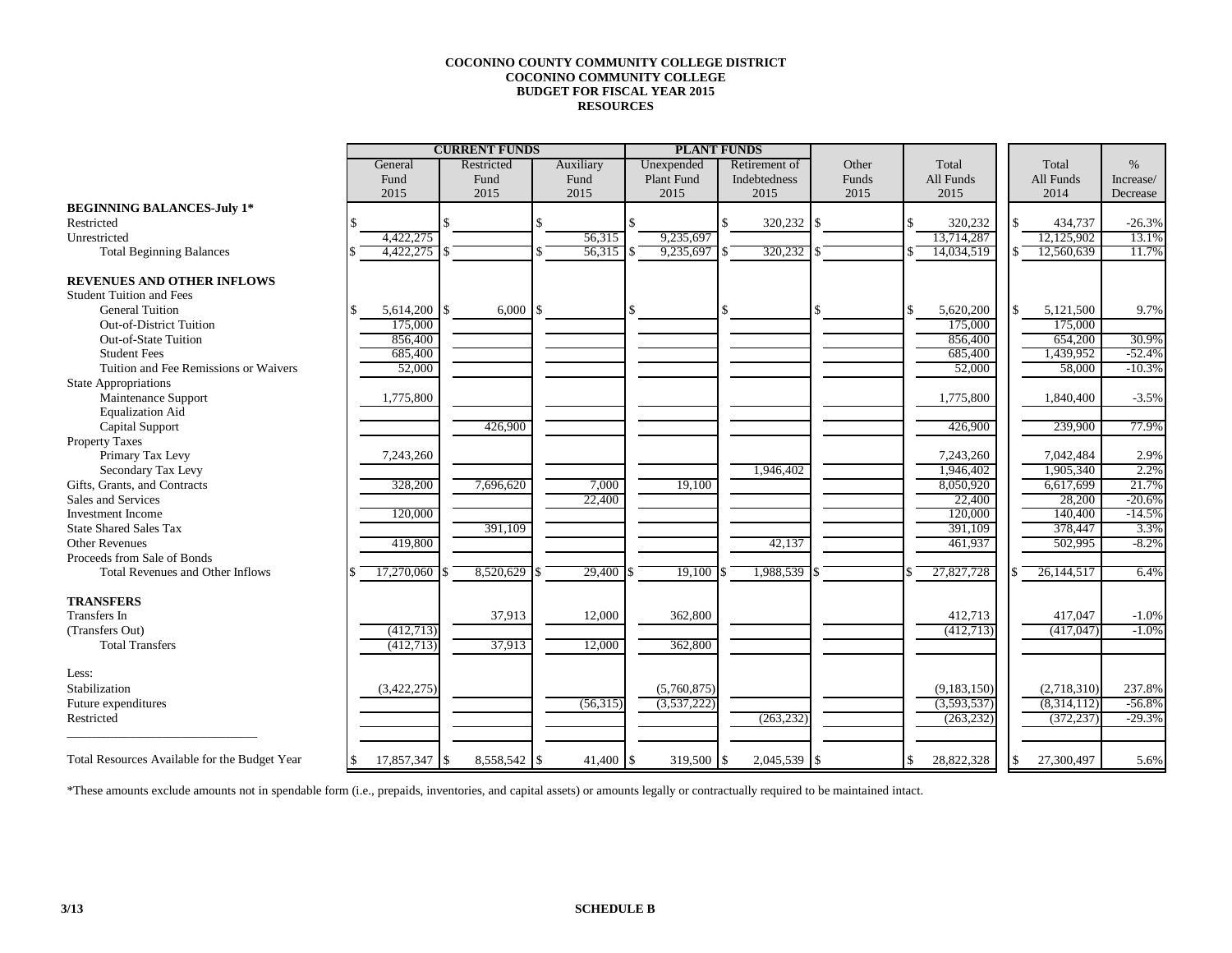## **COCONINO COUNTY COMMUNITY COLLEGE DISTRICT COCONINO COMMUNITY COLLEGE BUDGET FOR FISCAL YEAR 2015 RESOURCES**

|                                               | <b>CURRENT FUNDS</b> |              | <b>PLANT FUNDS</b> |           |                  |  |               |       |    |             |              |           |
|-----------------------------------------------|----------------------|--------------|--------------------|-----------|------------------|--|---------------|-------|----|-------------|--------------|-----------|
|                                               | General              | Restricted   |                    | Auxiliary | Unexpended       |  | Retirement of | Other |    | Total       | Total        | $\%$      |
|                                               | Fund                 | Fund         |                    | Fund      | Plant Fund       |  | Indebtedness  | Funds |    | All Funds   | All Funds    | Increase/ |
|                                               | 2015                 | 2015         |                    | 2015      | 2015             |  | 2015          | 2015  |    | 2015        | 2014         | Decrease  |
| <b>BEGINNING BALANCES-July 1*</b>             |                      |              |                    |           |                  |  |               |       |    |             |              |           |
| Restricted                                    |                      |              |                    |           |                  |  | 320,232       | l S   |    | 320,232     | 434,737      | $-26.3%$  |
| Unrestricted                                  | 4.422.275            |              |                    | 56,315    | 9,235,697        |  |               |       |    | 13.714.287  | 12,125,902   | 13.1%     |
| <b>Total Beginning Balances</b>               | 4,422,275            | \$           |                    | 56,315    | 9,235,697        |  | 320,232       |       |    | 14,034,519  | 12.560.639   | 11.7%     |
| <b>REVENUES AND OTHER INFLOWS</b>             |                      |              |                    |           |                  |  |               |       |    |             |              |           |
| <b>Student Tuition and Fees</b>               |                      |              |                    |           |                  |  |               |       |    |             |              |           |
| <b>General Tuition</b>                        | 5,614,200 \$         | 6,000        |                    |           |                  |  |               |       | ¢  | 5,620,200   | 5,121,500    | 9.7%      |
| <b>Out-of-District Tuition</b>                | 175,000              |              |                    |           |                  |  |               |       |    | 175,000     | 175,000      |           |
| Out-of-State Tuition                          | 856,400              |              |                    |           |                  |  |               |       |    | 856,400     | 654,200      | 30.9%     |
| <b>Student Fees</b>                           | 685,400              |              |                    |           |                  |  |               |       |    | 685,400     | 1,439,952    | $-52.4%$  |
| Tuition and Fee Remissions or Waivers         | 52,000               |              |                    |           |                  |  |               |       |    | 52,000      | 58,000       | $-10.3%$  |
| <b>State Appropriations</b>                   |                      |              |                    |           |                  |  |               |       |    |             |              |           |
| Maintenance Support                           | 1,775,800            |              |                    |           |                  |  |               |       |    | 1,775,800   | 1,840,400    | $-3.5%$   |
| <b>Equalization Aid</b>                       |                      |              |                    |           |                  |  |               |       |    |             |              |           |
| Capital Support                               |                      | 426,900      |                    |           |                  |  |               |       |    | 426.900     | 239,900      | 77.9%     |
| Property Taxes                                |                      |              |                    |           |                  |  |               |       |    |             |              |           |
| Primary Tax Levy                              | 7,243,260            |              |                    |           |                  |  |               |       |    | 7,243,260   | 7,042,484    | 2.9%      |
| Secondary Tax Levy                            |                      |              |                    |           |                  |  | 1,946,402     |       |    | 1,946,402   | 1,905,340    | 2.2%      |
| Gifts, Grants, and Contracts                  | 328,200              | 7,696,620    |                    | 7,000     | 19,100           |  |               |       |    | 8,050,920   | 6,617,699    | 21.7%     |
| Sales and Services                            |                      |              |                    | 22,400    |                  |  |               |       |    | 22,400      | 28,200       | $-20.6%$  |
| Investment Income                             | 120,000              |              |                    |           |                  |  |               |       |    | 120,000     | 140,400      | $-14.5%$  |
| <b>State Shared Sales Tax</b>                 |                      | 391,109      |                    |           |                  |  |               |       |    | 391,109     | 378,447      | 3.3%      |
| <b>Other Revenues</b>                         | 419,800              |              |                    |           |                  |  | 42,137        |       |    | 461,937     | 502,995      | $-8.2%$   |
| Proceeds from Sale of Bonds                   |                      |              |                    |           |                  |  |               |       |    |             |              |           |
| Total Revenues and Other Inflows              | 17,270,060           | 8,520,629    |                    | 29,400    | 19,100           |  | 1,988,539     |       |    | 27,827,728  | 26, 144, 517 | 6.4%      |
| <b>TRANSFERS</b>                              |                      |              |                    |           |                  |  |               |       |    |             |              |           |
| <b>Transfers</b> In                           |                      | 37,913       |                    | 12,000    | 362,800          |  |               |       |    | 412,713     | 417,047      | $-1.0%$   |
| (Transfers Out)                               | (412,713)            |              |                    |           |                  |  |               |       |    | (412,713)   | (417, 047)   | $-1.0%$   |
| <b>Total Transfers</b>                        | (412,713)            | 37,913       |                    | 12,000    | 362,800          |  |               |       |    |             |              |           |
| Less:                                         |                      |              |                    |           |                  |  |               |       |    |             |              |           |
| Stabilization                                 | (3,422,275)          |              |                    |           | (5,760,875)      |  |               |       |    | (9,183,150) | (2,718,310)  | 237.8%    |
| Future expenditures                           |                      |              |                    | (56,315)  | (3,537,222)      |  |               |       |    | (3,593,537) | (8,314,112)  | $-56.8%$  |
| Restricted                                    |                      |              |                    |           |                  |  | (263, 232)    |       |    | (263, 232)  | (372, 237)   | $-29.3%$  |
| Total Resources Available for the Budget Year | 17,857,347 \$        | 8,558,542 \$ |                    | 41,400    | \$<br>319,500 \$ |  | 2,045,539     | l \$  | \$ | 28,822,328  | 27,300,497   | 5.6%      |
|                                               |                      |              |                    |           |                  |  |               |       |    |             |              |           |

\*These amounts exclude amounts not in spendable form (i.e., prepaids, inventories, and capital assets) or amounts legally or contractually required to be maintained intact.